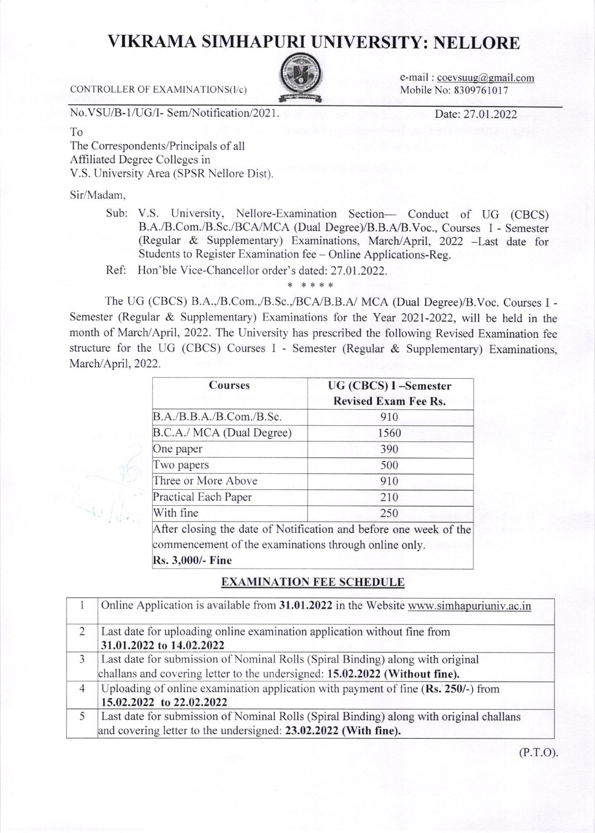## **VIKRAMA SIMHAPURI UNIVERSITY: NELLORE**

e-mail:  $coevsuug@gmail.com$ Mobile No: 8309761017

CONTROLLER OF EXAMINATIONS(I/c)

No.VSU/B-1/UG/I- Sem/Notification/2021.

Date: 27.01.2022

To The Correspondents/Principals of all Affiliated Degree Colleges in V.S. University Area (SPSR Nellore Dist).

Sir/Madam,

Sub: V.S. University, Nellore-Examination Section- Conduct of UG (CBCS) B.A./B.Com./B.Sc./BCA/MCA (Dual Degree)/B.B.A/B.Voc., Courses I - Semester (Regular & Supplementary) Examinations, March/April, 2022 -Last date for Students to Register Examination fee - Online Applications-Reg.

Ref: Hon'ble Vice-Chancellor order's dated: 27.01.2022.

The UG (CBCS) B.A.,/B.Com.,/B.Sc.,/BCA/B.B.A/ MCA (Dual Degree)/B.Voc. Courses I -Semester (Regular & Supplementary) Examinations for the Year 2021-2022, will be held in the month of March/April, 2022. The University has prescribed the following Revised Examination fee structure for the UG (CBCS) Courses I - Semester (Regular & Supplementary) Examinations, March/April, 2022.

\* \*\*\*\*

| <b>Courses</b>                                                            | UG (CBCS) I-Semester<br><b>Revised Exam Fee Rs.</b>               |
|---------------------------------------------------------------------------|-------------------------------------------------------------------|
| B.A./B.B.A./B.Com./B.Sc.                                                  | 910                                                               |
| B.C.A./ MCA (Dual Degree)                                                 | 1560                                                              |
| One paper                                                                 | 390                                                               |
| Two papers                                                                | 500                                                               |
| Three or More Above                                                       | 910                                                               |
| <b>Practical Each Paper</b>                                               | 210                                                               |
| With fine                                                                 | 250                                                               |
| commencement of the examinations through online only.<br>Rs. 3,000/- Fine | After closing the date of Notification and before one week of the |

## **EXAMINATION FEE SCHEDULE**

|                | Online Application is available from 31.01.2022 in the Website www.simhapuriuniv.ac.in                                                                        |
|----------------|---------------------------------------------------------------------------------------------------------------------------------------------------------------|
| 2              | Last date for uploading online examination application without fine from<br>31.01.2022 to 14.02.2022                                                          |
| 3              | Last date for submission of Nominal Rolls (Spiral Binding) along with original<br>challans and covering letter to the undersigned: 15.02.2022 (Without fine). |
| $\overline{4}$ | Uploading of online examination application with payment of fine (Rs. 250/-) from<br>15.02.2022 to 22.02.2022                                                 |
| 5              | Last date for submission of Nominal Rolls (Spiral Binding) along with original challans<br>and covering letter to the undersigned: 23.02.2022 (With fine).    |

 $(P.T.O).$